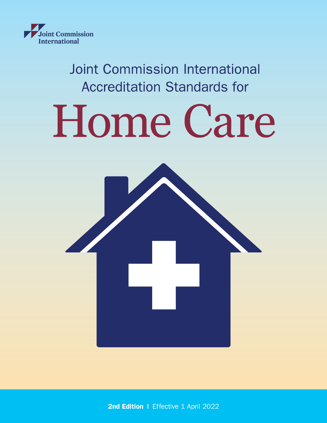

**Joint Commission International Accreditation Standards for** 

# Home Care



2nd Edition | Effective 1 April 2022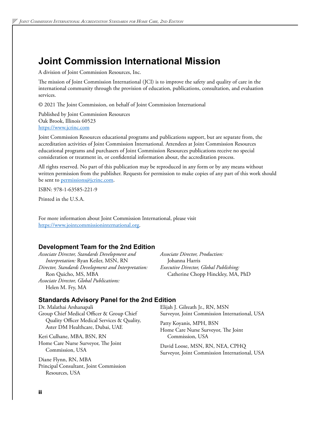# **Joint Commission International Mission**

A division of Joint Commission Resources, Inc.

The mission of Joint Commission International (JCI) is to improve the safety and quality of care in the international community through the provision of education, publications, consultation, and evaluation services.

© 2021 The Joint Commission, on behalf of Joint Commission International

Published by Joint Commission Resources Oak Brook, Illinois 60523 <https://www.jcrinc.com>

Joint Commission Resources educational programs and publications support, but are separate from, the accreditation activities of Joint Commission International. Attendees at Joint Commission Resources educational programs and purchasers of Joint Commission Resources publications receive no special consideration or treatment in, or confidential information about, the accreditation process.

All rights reserved. No part of this publication may be reproduced in any form or by any means without written permission from the publisher. Requests for permission to make copies of any part of this work should be sent to [permissions@jcrinc.com](mailto:permissions@jcrinc.com).

ISBN: 978-1-63585-221-9

Printed in the U.S.A.

For more information about Joint Commission International, please visit [https://www.jointcommissioninternational.org.](https://www.jointcommissioninternational.org)

# **Development Team for the 2nd Edition**

*Associate Director, Standards Development and Interpretation:* Ryan Keiler, MSN, RN *Director, Standards Development and Interpretation:*  Ron Quicho, MS, MBA *Associate Director, Global Publications:*  Helen M. Fry, MA

*Associate Director, Production:*  Johanna Harris *Executive Director, Global Publishing:*  Catherine Chopp Hinckley, MA, PhD

# **Standards Advisory Panel for the 2nd Edition**

Dr. Malathai Arshanapali Group Chief Medical Officer & Group Chief Quality Officer Medical Services & Quality, Aster DM Healthcare, Dubai, UAE

Keri Culhane, MBA, BSN, RN Home Care Nurse Surveyor, The Joint Commission, USA

Diane Flynn, RN, MBA Principal Consultant, Joint Commission Resources, USA

Elijah J. Gilreath Jr., RN, MSN Surveyor, Joint Commission International, USA

Patty Koyanis, MPH, BSN Home Care Nurse Surveyor, The Joint Commission, USA

David Loose, MSN, RN, NEA, CPHQ Surveyor, Joint Commission International, USA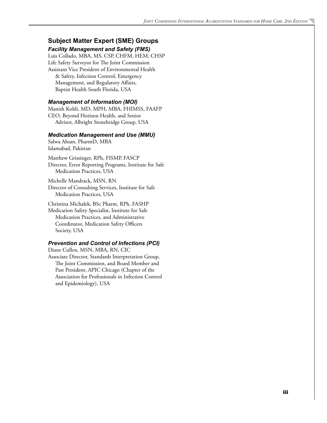# **Subject Matter Expert (SME) Groups**

*Facility Management and Safety (FMS)* Luis Collado, MBA, MS, CSP, CHFM, HEM, CHSP Life Safety Surveyor for The Joint Commission Assistant Vice President of Environmental Health & Safety, Infection Control, Emergency Management, and Regulatory Affairs, Baptist Health South Florida, USA

### *Management of Information (MOI)*

Manish Kohli, MD, MPH, MBA, FHIMSS, FAAFP CEO, Beyond Horizon Health, and Senior Advisor, Albright Stonebridge Group, USA

#### *Medication Management and Use (MMU)*

Salwa Ahsan, PharmD, MBA Islamabad, Pakistan

Matthew Grissinger, RPh, FISMP, FASCP Director, Error Reporting Programs, Institute for Safe Medication Practices, USA

Michelle Mandrack, MSN, RN Director of Consulting Services, Institute for Safe Medication Practices, USA

Christina Michalek, BSc Pharm, RPh, FASHP

Medication Safety Specialist, Institute for Safe Medication Practices, and Administrative Coordinator, Medication Safety Officers Society, USA

### *Prevention and Control of Infections (PCI)*

Diane Cullen, MSN, MBA, RN, CIC Associate Director, Standards Interpretation Group, The Joint Commission, and Board Member and Past President, APIC Chicago (Chapter of the Association for Professionals in Infection Control and Epidemiology), USA